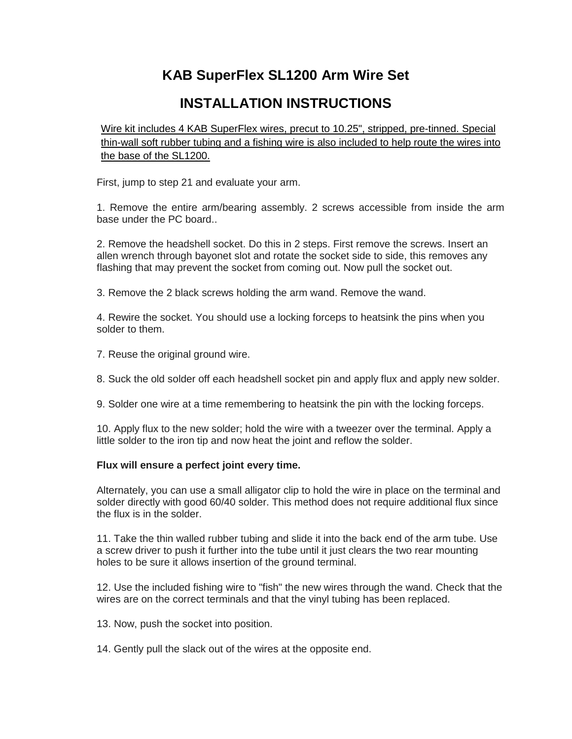## **KAB SuperFlex SL1200 Arm Wire Set**

# **INSTALLATION INSTRUCTIONS**

Wire kit includes 4 KAB SuperFlex wires, precut to 10.25", stripped, pre-tinned. Special thin-wall soft rubber tubing and a fishing wire is also included to help route the wires into the base of the SL1200.

First, jump to step 21 and evaluate your arm.

1. Remove the entire arm/bearing assembly. 2 screws accessible from inside the arm base under the PC board..

2. Remove the headshell socket. Do this in 2 steps. First remove the screws. Insert an allen wrench through bayonet slot and rotate the socket side to side, this removes any flashing that may prevent the socket from coming out. Now pull the socket out.

3. Remove the 2 black screws holding the arm wand. Remove the wand.

4. Rewire the socket. You should use a locking forceps to heatsink the pins when you solder to them.

- 7. Reuse the original ground wire.
- 8. Suck the old solder off each headshell socket pin and apply flux and apply new solder.
- 9. Solder one wire at a time remembering to heatsink the pin with the locking forceps.

10. Apply flux to the new solder; hold the wire with a tweezer over the terminal. Apply a little solder to the iron tip and now heat the joint and reflow the solder.

#### **Flux will ensure a perfect joint every time.**

Alternately, you can use a small alligator clip to hold the wire in place on the terminal and solder directly with good 60/40 solder. This method does not require additional flux since the flux is in the solder.

11. Take the thin walled rubber tubing and slide it into the back end of the arm tube. Use a screw driver to push it further into the tube until it just clears the two rear mounting holes to be sure it allows insertion of the ground terminal.

12. Use the included fishing wire to "fish" the new wires through the wand. Check that the wires are on the correct terminals and that the vinyl tubing has been replaced.

13. Now, push the socket into position.

14. Gently pull the slack out of the wires at the opposite end.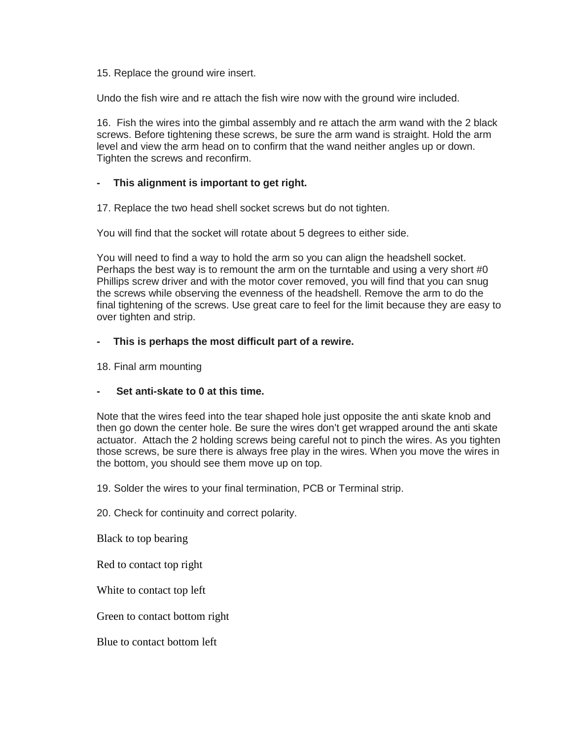15. Replace the ground wire insert.

Undo the fish wire and re attach the fish wire now with the ground wire included.

16. Fish the wires into the gimbal assembly and re attach the arm wand with the 2 black screws. Before tightening these screws, be sure the arm wand is straight. Hold the arm level and view the arm head on to confirm that the wand neither angles up or down. Tighten the screws and reconfirm.

## **- This alignment is important to get right.**

17. Replace the two head shell socket screws but do not tighten.

You will find that the socket will rotate about 5 degrees to either side.

You will need to find a way to hold the arm so you can align the headshell socket. Perhaps the best way is to remount the arm on the turntable and using a very short #0 Phillips screw driver and with the motor cover removed, you will find that you can snug the screws while observing the evenness of the headshell. Remove the arm to do the final tightening of the screws. Use great care to feel for the limit because they are easy to over tighten and strip.

### **- This is perhaps the most difficult part of a rewire.**

18. Final arm mounting

#### **- Set anti-skate to 0 at this time.**

Note that the wires feed into the tear shaped hole just opposite the anti skate knob and then go down the center hole. Be sure the wires don't get wrapped around the anti skate actuator. Attach the 2 holding screws being careful not to pinch the wires. As you tighten those screws, be sure there is always free play in the wires. When you move the wires in the bottom, you should see them move up on top.

19. Solder the wires to your final termination, PCB or Terminal strip.

20. Check for continuity and correct polarity.

Black to top bearing

Red to contact top right

White to contact top left

Green to contact bottom right

Blue to contact bottom left